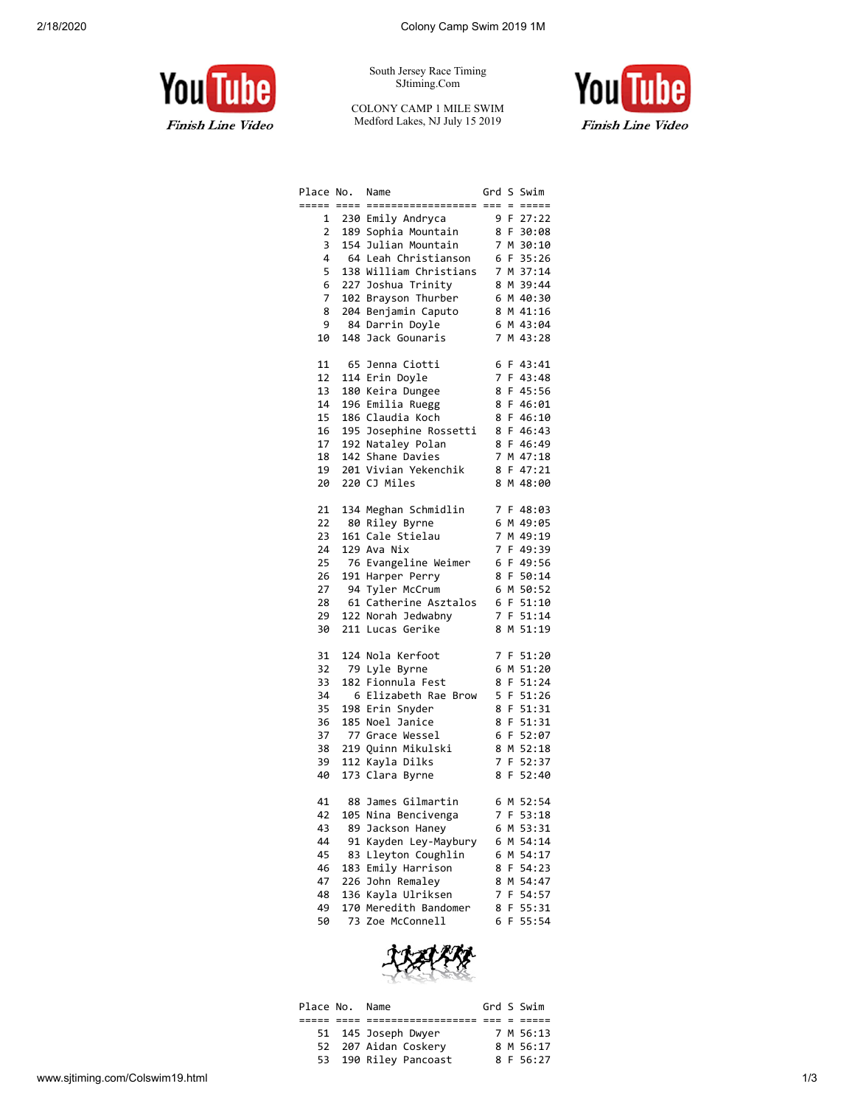

South Jersey Race Timing SJtiming.Com

COLONY CAMP 1 MILE SWIM Medford Lakes, NJ July 15 2019



| Place No.      |     | Name                    |                |    | Grd S Swim  |
|----------------|-----|-------------------------|----------------|----|-------------|
| ===== ====     |     | __________________      |                |    | === = ===== |
| 1              |     | 230 Emily Andryca       |                |    | 9 F 27:22   |
| $\overline{2}$ |     | 189 Sophia Mountain     |                |    | 8 F 30:08   |
| 3              |     | 154 Julian Mountain     |                |    | 7 M 30:10   |
| 4              |     | 64 Leah Christianson    |                |    | 6 F 35:26   |
| 5              |     | 138 William Christians  |                |    | 7 M 37:14   |
| 6              |     | 227 Joshua Trinity      |                |    | 8 M 39:44   |
| $\overline{7}$ |     | 102 Brayson Thurber     |                |    | 6 M 40:30   |
| 8              |     | 204 Benjamin Caputo     |                |    | 8 M 41:16   |
| 9              |     | 84 Darrin Doyle         |                |    | 6 M 43:04   |
| 10             | 148 | Jack Gounaris           | 7              |    | M 43:28     |
|                |     |                         |                |    |             |
| 11             |     | 65 Jenna Ciotti         | 6              |    | $F$ 43:41   |
| 12             |     | 114 Erin Doyle          | 7              |    | F 43:48     |
| 13             |     | 180 Keira Dungee        | 8              |    | F 45:56     |
| 14             |     | 196 Emilia Ruegg        | 8              |    | F 46:01     |
| 15             |     | 186 Claudia Koch        | 8              |    | F 46:10     |
| 16             |     | 195 Josephine Rossetti  | 8              |    | F 46:43     |
| 17             |     | 192 Nataley Polan       | 8              |    | F 46:49     |
| 18             |     | 142 Shane Davies        | 7              |    | M 47:18     |
| 19             |     | 201 Vivian Yekenchik    | 8              |    | F 47:21     |
| 20             |     | 220 CJ Miles            | 8              |    | M 48:00     |
|                |     |                         |                |    |             |
| 21             |     | 134 Meghan Schmidlin    |                |    | 7 F 48:03   |
| 22             |     | 80 Riley Byrne          | 6              |    | M 49:05     |
| 23             |     | 161 Cale Stielau        | $\overline{7}$ |    | M 49:19     |
| 24             |     | 129 Ava Nix             | 7              |    | F 49:39     |
| 25             |     | 76 Evangeline Weimer    | 6              |    | F 49:56     |
| 26             |     | 191 Harper Perry        | 8              |    | F 50:14     |
| 27             |     | 94 Tyler McCrum         | 6              |    | M 50:52     |
| 28             |     | 61 Catherine Asztalos   |                |    | 6 F 51:10   |
| 29             |     | 122 Norah Jedwabny      |                |    | 7 F 51:14   |
| 30             |     | 211 Lucas Gerike        | 8              |    | M 51:19     |
|                |     |                         |                |    |             |
| 31             |     | 124 Nola Kerfoot        |                |    | 7 F 51:20   |
| 32             |     | 79 Lyle Byrne           | 6              |    | M 51:20     |
| 33             | 182 | Fionnula Fest           | 8              |    | F 51:24     |
| 34             |     | 6 Elizabeth Rae<br>Brow | 5              |    | F 51:26     |
| 35             |     | 198 Erin Snyder         | 8              |    | F 51:31     |
| 36             |     | 185 Noel Janice         | 8              |    | F 51:31     |
| 37             |     | 77 Grace Wessel         | 6              |    | F 52:07     |
| 38             |     | 219 Quinn Mikulski      | 8              |    | M 52:18     |
| 39             |     | 112 Kayla Dilks         | $\overline{7}$ | F. | 52:37       |
| 40             |     | 173 Clara Byrne         | 8              | F  | 52:40       |
|                |     |                         |                |    |             |
| 41             |     | 88 James Gilmartin      |                |    | 6 M 52:54   |
| 42             | 105 | Nina Bencivenga         | 7              | F. | 53:18       |
| 43             | 89  | Jackson Haney           | 6              | M  | 53:31       |
| 44             | 91  | Kayden Ley-Maybury      | 6              | М  | 54:14       |
| 45             | 83  | Lleyton Coughlin        | 6              | м  | 54:17       |
| 46             | 183 | Emily Harrison          | 8              | F  | 54:23       |
| 47             | 226 | John Remaley            | 8              | М  | 54:47       |
| 48             | 136 | Kayla Ulriksen          | 7              | F  | 54:57       |
| 49             | 170 | Meredith Bandomer       | 8              | F  | 55:31       |
| 50             | 73  | Zoe McConnell           | 6              | F  | 55:54       |



| Place No. Name |                       |  | Grd S Swim |
|----------------|-----------------------|--|------------|
|                |                       |  |            |
|                | 51 145 Joseph Dwyer   |  | 7 M 56:13  |
|                | 52 207 Aidan Coskery  |  | 8 M 56:17  |
|                | 53 190 Riley Pancoast |  | 8 F 56:27  |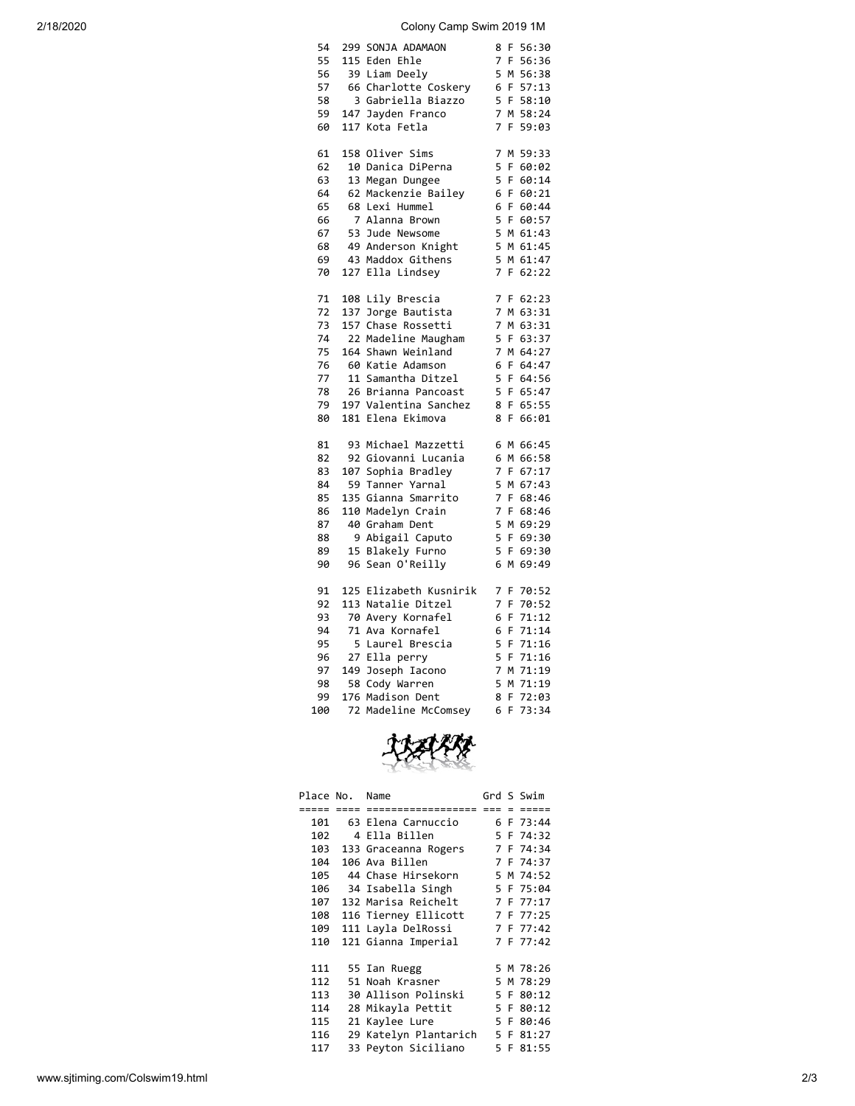2/18/2020 Colony Camp Swim 2019 1M

| 54  |     | 299 SONJA ADAMAON      | 8<br>F<br>56:30              |
|-----|-----|------------------------|------------------------------|
| 55  |     | 115 Eden Ehle          | 7<br>F.<br>56:36             |
| 56  |     | 39 Liam Deely          | 5 M<br>56:38                 |
| 57  |     | 66 Charlotte Coskery   | 6 F 57:13                    |
| 58  |     | 3 Gabriella Biazzo     | 5 F 58:10                    |
| 59  |     | 147 Jayden Franco      | 7 M 58:24                    |
| 60  |     | 117 Kota Fetla         | 7<br>F<br>59:03              |
|     |     |                        |                              |
| 61  |     | 158 Oliver Sims        | 7<br>M 59:33                 |
| 62  |     | 10 Danica DiPerna      | 5<br>F.<br>60:02             |
| 63  |     | 13 Megan Dungee        | 5<br>F.<br>60:14             |
| 64  |     | 62 Mackenzie Bailey    | 6<br>F 60:21                 |
| 65  |     | 68 Lexi Hummel         | 6<br>F 60:44                 |
| 66  |     | 7 Alanna Brown         | 5 F 60:57                    |
| 67  |     | 53 Jude Newsome        | 5 M 61:43                    |
| 68  |     |                        | 5 M 61:45                    |
|     |     | 49 Anderson Knight     |                              |
| 69  |     | 43 Maddox Githens      | 5 M 61:47                    |
| 70  |     | 127 Ella Lindsey       | $\overline{7}$<br>F<br>62:22 |
| 71  |     | 108 Lily Brescia       | 7 F 62:23                    |
| 72  | 137 | Jorge Bautista         | $\overline{7}$<br>M 63:31    |
| 73  |     | 157 Chase Rossetti     | 7 M 63:31                    |
| 74  |     | 22 Madeline Maugham    | 5 F 63:37                    |
| 75  |     | 164 Shawn Weinland     | 7 M 64:27                    |
|     |     |                        |                              |
| 76  |     | 60 Katie Adamson       | 6 F<br>64:47                 |
| 77  |     | 11 Samantha Ditzel     | 5<br>F 64:56                 |
| 78  |     | 26 Brianna Pancoast    | 5 F 65:47                    |
| 79  |     | 197 Valentina Sanchez  | 8<br>F.<br>65:55             |
| 80  |     | 181 Elena Ekimova      | 8<br>F<br>66:01              |
| 81  |     | 93 Michael Mazzetti    | 6 M 66:45                    |
| 82  |     | 92 Giovanni Lucania    | 6 M 66:58                    |
| 83  |     | 107 Sophia Bradley     | $\overline{7}$<br>F 67:17    |
| 84  |     | 59 Tanner Yarnal       | 5 M 67:43                    |
| 85  |     | 135 Gianna Smarrito    | $\overline{7}$<br>F 68:46    |
| 86  |     | 110 Madelyn Crain      | 7 F 68:46                    |
| 87  |     | 40 Graham Dent         | 5 M 69:29                    |
| 88  |     | 9 Abigail Caputo       | 5 F 69:30                    |
| 89  |     | 15 Blakely Furno       | 5<br>69:30<br>F.             |
| 90  |     | 96 Sean O'Reilly       | 6<br>M 69:49                 |
|     |     |                        |                              |
| 91  |     | 125 Elizabeth Kusnirik | 7<br>F<br>70:52              |
| 92  |     | 113 Natalie Ditzel     | 7<br>F.<br>70:52             |
| 93  |     | 70 Avery Kornafel      | 6<br>F 71:12                 |
| 94  |     | 71 Ava Kornafel        | 6<br>F.<br>71:14             |
| 95  |     | 5 Laurel Brescia       | 5<br>F<br>71:16              |
| 96  |     | 27 Ella perry          | 5<br>F 71:16                 |
| 97  |     | 149 Joseph Iacono      | $\overline{7}$<br>M 71:19    |
| 98  |     | 58 Cody Warren         | 5 M 71:19                    |
| 99  |     | 176 Madison Dent       | 8<br>F.<br>72:03             |
| 100 | 72  | Madeline McComsey      | 6<br>F<br>73:34              |
|     |     |                        |                              |



| Place No. |    | Name                     |      | Grd S Swim |
|-----------|----|--------------------------|------|------------|
| =====     |    | =================        | $==$ |            |
| 101       |    | 63 Elena Carnuccio       |      | 6 F 73:44  |
| 102       |    | 4 Ella Billen            |      | 5 F 74:32  |
|           |    | 103 133 Graceanna Rogers |      | 7 F 74:34  |
| 104       |    | 106 Ava Billen           |      | 7 F 74:37  |
| 105       |    | 44 Chase Hirsekorn       |      | 5 M 74:52  |
|           |    | 106 34 Isabella Singh    |      | 5 F 75:04  |
| 107       |    | 132 Marisa Reichelt      |      | 7 F 77:17  |
| 108       |    | 116 Tierney Ellicott     |      | 7 F 77:25  |
| 109       |    | 111 Layla DelRossi       |      | 7 F 77:42  |
| 110       |    | 121 Gianna Imperial      |      | 7 F 77:42  |
|           |    |                          |      |            |
| 111       |    | 55 Ian Ruegg             |      | 5 M 78:26  |
| 112       |    | 51 Noah Krasner          |      | 5 M 78:29  |
| 113       |    | 30 Allison Polinski      |      | 5 F 80:12  |
| 114       |    | 28 Mikayla Pettit        |      | 5 F 80:12  |
| 115       | 21 | Kaylee Lure              |      | 5 F 80:46  |
| 116       |    | 29 Katelyn Plantarich    |      | 5 F 81:27  |
| 117       | 33 | Peyton Siciliano         |      | 5 F 81:55  |